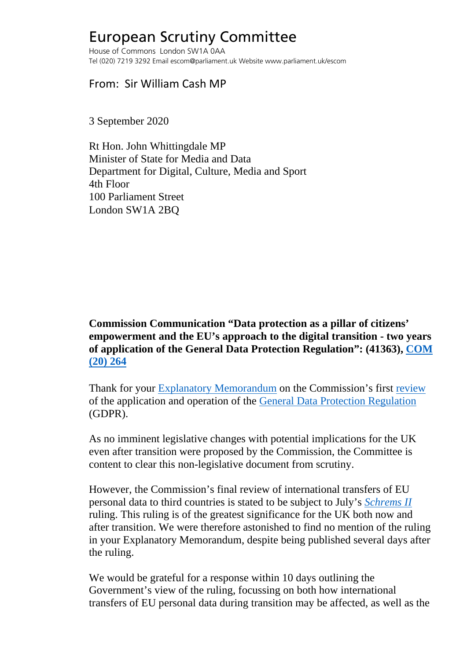## European Scrutiny Committee

House of Commons London SW1A 0AA Tel (020) 7219 3292 Email escom@parliament.uk Website www.parliament.uk/escom

## From: Sir William Cash MP

3 September 2020

Rt Hon. John Whittingdale MP Minister of State for Media and Data Department for Digital, Culture, Media and Sport 4th Floor 100 Parliament Street London SW1A 2BQ

**Commission Communication "Data protection as a pillar of citizens' empowerment and the EU's approach to the digital transition - two years of application of the General Data Protection Regulation": (41363), [COM](https://ec.europa.eu/info/sites/info/files/1_en_act_part1_v6_1.pdf)  [\(20\) 264](https://ec.europa.eu/info/sites/info/files/1_en_act_part1_v6_1.pdf)**

Thank for your [Explanatory Memorandum](http://europeanmemoranda.cabinetoffice.gov.uk/files/2020/07/EM_COM(2020)_264_final.pdf) on the Commission's first [review](https://eur-lex.europa.eu/legal-content/EN/ALL/?uri=COM:2020:264:FIN) of the application and operation of the [General Data Protection Regulation](https://eur-lex.europa.eu/legal-content/EN/TXT/?uri=CELEX%3A32016R0679) (GDPR).

As no imminent legislative changes with potential implications for the UK even after transition were proposed by the Commission, the Committee is content to clear this non-legislative document from scrutiny.

However, the Commission's final review of international transfers of EU personal data to third countries is stated to be subject to July's *[Schrems II](https://curia.europa.eu/jcms/upload/docs/application/pdf/2020-07/cp200091en.pdf)* ruling. This ruling is of the greatest significance for the UK both now and after transition. We were therefore astonished to find no mention of the ruling in your Explanatory Memorandum, despite being published several days after the ruling.

We would be grateful for a response within 10 days outlining the Government's view of the ruling, focussing on both how international transfers of EU personal data during transition may be affected, as well as the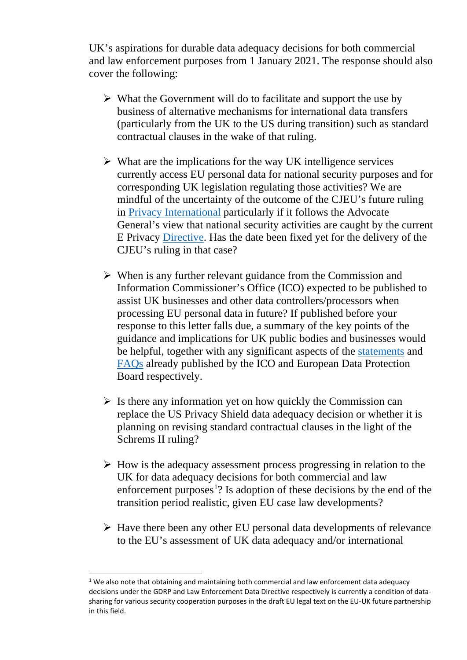UK's aspirations for durable data adequacy decisions for both commercial and law enforcement purposes from 1 January 2021. The response should also cover the following:

- $\triangleright$  What the Government will do to facilitate and support the use by business of alternative mechanisms for international data transfers (particularly from the UK to the US during transition) such as standard contractual clauses in the wake of that ruling.
- $\triangleright$  What are the implications for the way UK intelligence services currently access EU personal data for national security purposes and for corresponding UK legislation regulating those activities? We are mindful of the uncertainty of the outcome of the CJEU's future ruling in [Privacy International](http://curia.europa.eu/juris/document/document.jsf?text=&docid=222262&pageIndex=0&doclang=en&mode=req&dir=&occ=first&part=1&cid=9487100) particularly if it follows the Advocate General's view that national security activities are caught by the current E Privacy [Directive.](https://eur-lex.europa.eu/legal-content/EN/ALL/?uri=CELEX:32002L0058) Has the date been fixed yet for the delivery of the CJEU's ruling in that case?
- $\triangleright$  When is any further relevant guidance from the Commission and Information Commissioner's Office (ICO) expected to be published to assist UK businesses and other data controllers/processors when processing EU personal data in future? If published before your response to this letter falls due, a summary of the key points of the guidance and implications for UK public bodies and businesses would be helpful, together with any significant aspects of the [statements](https://ico.org.uk/about-the-ico/news-and-events/news-and-blogs/2020/07/updated-ico-statement-on-the-judgment-of-the-european-court-of-justice-in-the-schrems-ii-case/) and [FAQs](https://edpb.europa.eu/our-work-tools/our-documents/other/frequently-asked-questions-judgment-court-justice-european-union_en) already published by the ICO and European Data Protection Board respectively.
- $\triangleright$  Is there any information yet on how quickly the Commission can replace the US Privacy Shield data adequacy decision or whether it is planning on revising standard contractual clauses in the light of the Schrems II ruling?
- $\triangleright$  How is the adequacy assessment process progressing in relation to the UK for data adequacy decisions for both commercial and law enforcement purposes<sup>[1](#page-1-0)</sup>? Is adoption of these decisions by the end of the transition period realistic, given EU case law developments?
- $\triangleright$  Have there been any other EU personal data developments of relevance to the EU's assessment of UK data adequacy and/or international

<span id="page-1-0"></span> $1$  We also note that obtaining and maintaining both commercial and law enforcement data adequacy decisions under the GDRP and Law Enforcement Data Directive respectively is currently a condition of datasharing for various security cooperation purposes in the draft EU legal text on the EU-UK future partnership in this field.